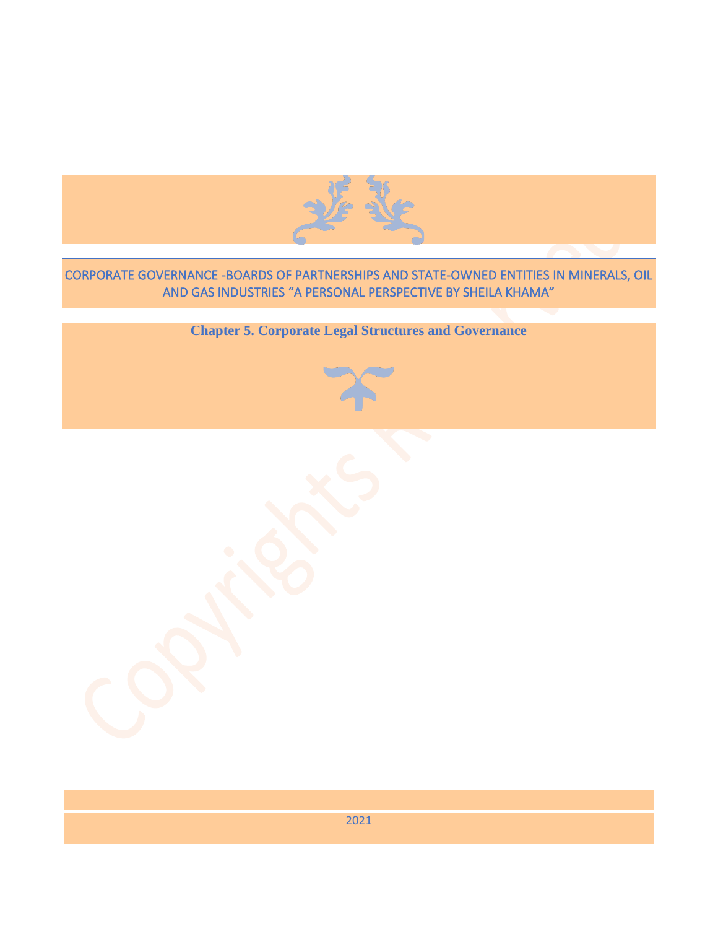

# CORPORATE GOVERNANCE -BOARDS OF PARTNERSHIPS AND STATE-OWNED ENTITIES IN MINERALS, OIL AND GAS INDUSTRIES "A PERSONAL PERSPECTIVE BY SHEILA KHAMA"

**Chapter 5. Corporate Legal Structures and Governance**



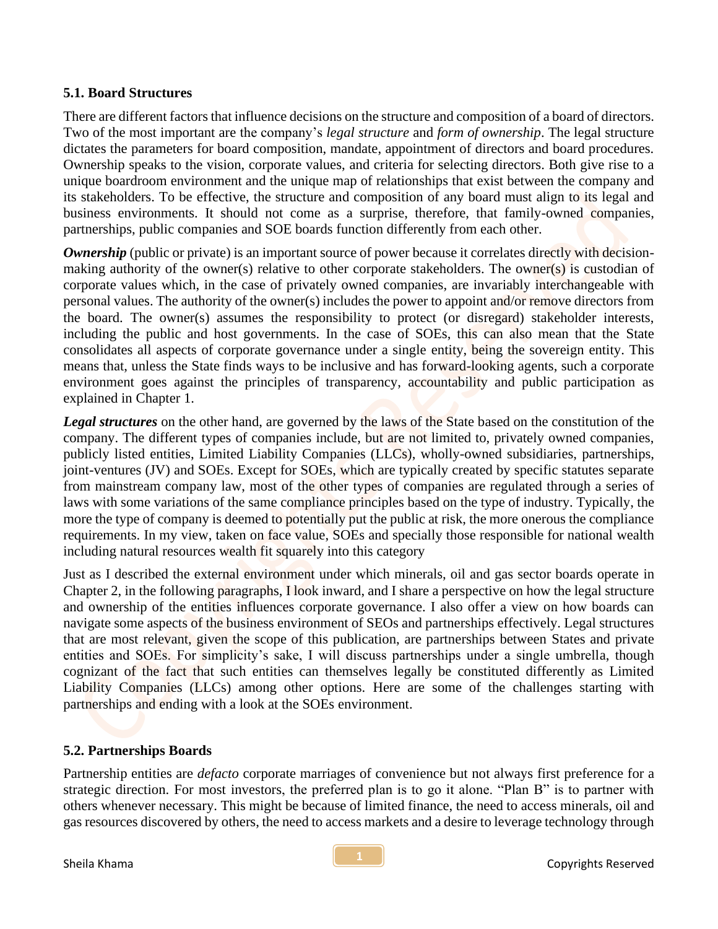## **5.1. Board Structures**

There are different factors that influence decisions on the structure and composition of a board of directors. Two of the most important are the company's *legal structure* and *form of ownership*. The legal structure dictates the parameters for board composition, mandate, appointment of directors and board procedures. Ownership speaks to the vision, corporate values, and criteria for selecting directors. Both give rise to a unique boardroom environment and the unique map of relationships that exist between the company and its stakeholders. To be effective, the structure and composition of any board must align to its legal and business environments. It should not come as a surprise, therefore, that family-owned companies, partnerships, public companies and SOE boards function differently from each other.

*Ownership* (public or private) is an important source of power because it correlates directly with decisionmaking authority of the owner(s) relative to other corporate stakeholders. The owner(s) is custodian of corporate values which, in the case of privately owned companies, are invariably interchangeable with personal values. The authority of the owner(s) includes the power to appoint and/or remove directors from the board. The owner(s) assumes the responsibility to protect (or disregard) stakeholder interests, including the public and host governments. In the case of SOEs, this can also mean that the State consolidates all aspects of corporate governance under a single entity, being the sovereign entity. This means that, unless the State finds ways to be inclusive and has forward-looking agents, such a corporate environment goes against the principles of transparency, accountability and public participation as explained in Chapter 1.

*Legal structures* on the other hand, are governed by the laws of the State based on the constitution of the company. The different types of companies include, but are not limited to, privately owned companies, publicly listed entities, Limited Liability Companies (LLCs), wholly-owned subsidiaries, partnerships, joint-ventures (JV) and SOEs. Except for SOEs, which are typically created by specific statutes separate from mainstream company law, most of the other types of companies are regulated through a series of laws with some variations of the same compliance principles based on the type of industry. Typically, the more the type of company is deemed to potentially put the public at risk, the more onerous the compliance requirements. In my view, taken on face value, SOEs and specially those responsible for national wealth including natural resources wealth fit squarely into this category

Just as I described the external environment under which minerals, oil and gas sector boards operate in Chapter 2, in the following paragraphs, I look inward, and I share a perspective on how the legal structure and ownership of the entities influences corporate governance. I also offer a view on how boards can navigate some aspects of the business environment of SEOs and partnerships effectively. Legal structures that are most relevant, given the scope of this publication, are partnerships between States and private entities and SOEs. For simplicity's sake, I will discuss partnerships under a single umbrella, though cognizant of the fact that such entities can themselves legally be constituted differently as Limited Liability Companies (LLCs) among other options. Here are some of the challenges starting with partnerships and ending with a look at the SOEs environment.

### **5.2. Partnerships Boards**

Partnership entities are *defacto* corporate marriages of convenience but not always first preference for a strategic direction. For most investors, the preferred plan is to go it alone. "Plan B" is to partner with others whenever necessary. This might be because of limited finance, the need to access minerals, oil and gas resources discovered by others, the need to access markets and a desire to leverage technology through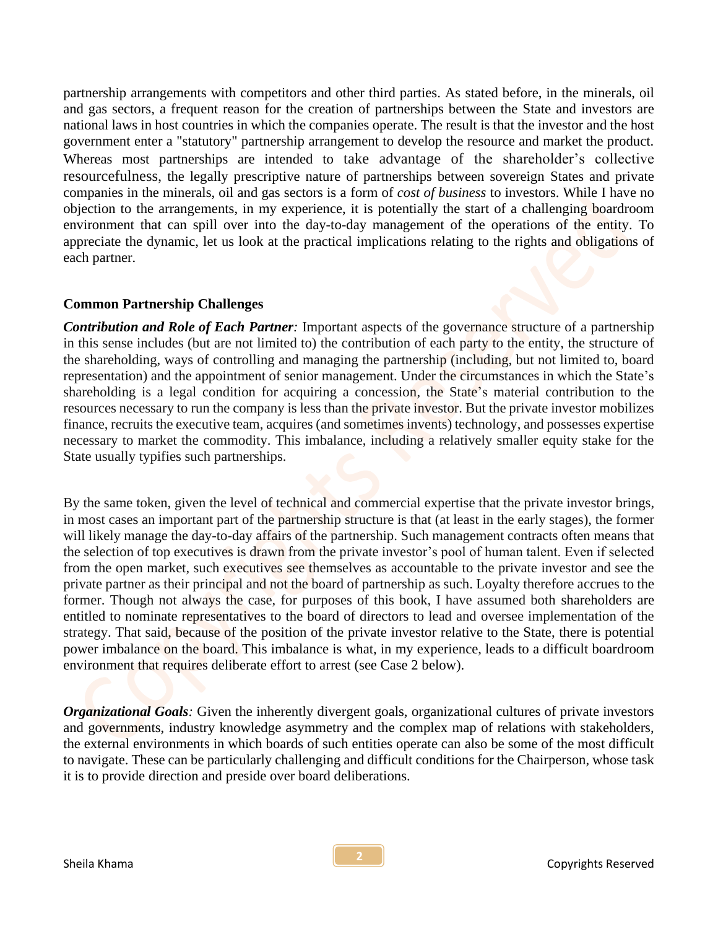partnership arrangements with competitors and other third parties. As stated before, in the minerals, oil and gas sectors, a frequent reason for the creation of partnerships between the State and investors are national laws in host countries in which the companies operate. The result is that the investor and the host government enter a "statutory" partnership arrangement to develop the resource and market the product. Whereas most partnerships are intended to take advantage of the shareholder's collective resourcefulness, the legally prescriptive nature of partnerships between sovereign States and private companies in the minerals, oil and gas sectors is a form of *cost of business* to investors. While I have no objection to the arrangements, in my experience, it is potentially the start of a challenging boardroom environment that can spill over into the day-to-day management of the operations of the entity. To appreciate the dynamic, let us look at the practical implications relating to the rights and obligations of each partner.

### **Common Partnership Challenges**

*Contribution and Role of Each Partner:* Important aspects of the governance structure of a partnership in this sense includes (but are not limited to) the contribution of each party to the entity, the structure of the shareholding, ways of controlling and managing the partnership (including, but not limited to, board representation) and the appointment of senior management. Under the circumstances in which the State's shareholding is a legal condition for acquiring a concession, the State's material contribution to the resources necessary to run the company is less than the private investor. But the private investor mobilizes finance, recruits the executive team, acquires (and sometimes invents) technology, and possesses expertise necessary to market the commodity. This imbalance, including a relatively smaller equity stake for the State usually typifies such partnerships.

By the same token, given the level of technical and commercial expertise that the private investor brings, in most cases an important part of the partnership structure is that (at least in the early stages), the former will likely manage the day-to-day affairs of the partnership. Such management contracts often means that the selection of top executives is drawn from the private investor's pool of human talent. Even if selected from the open market, such executives see themselves as accountable to the private investor and see the private partner as their principal and not the board of partnership as such. Loyalty therefore accrues to the former. Though not always the case, for purposes of this book, I have assumed both shareholders are entitled to nominate representatives to the board of directors to lead and oversee implementation of the strategy. That said, because of the position of the private investor relative to the State, there is potential power imbalance on the board. This imbalance is what, in my experience, leads to a difficult boardroom environment that requires deliberate effort to arrest (see Case 2 below).

*Organizational Goals:* Given the inherently divergent goals, organizational cultures of private investors and governments, industry knowledge asymmetry and the complex map of relations with stakeholders, the external environments in which boards of such entities operate can also be some of the most difficult to navigate. These can be particularly challenging and difficult conditions for the Chairperson, whose task it is to provide direction and preside over board deliberations.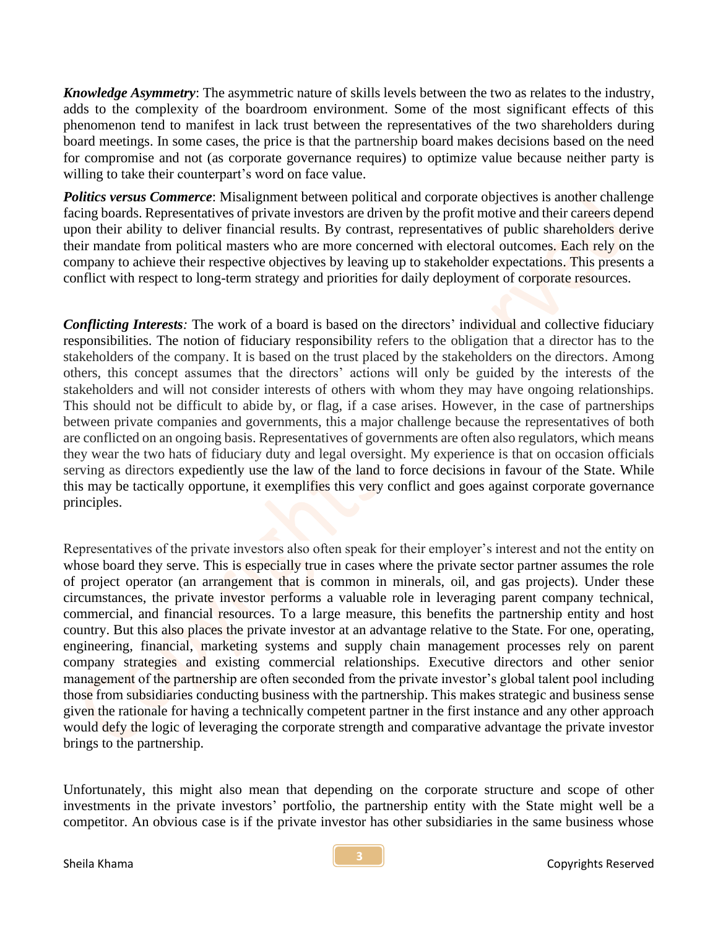*Knowledge Asymmetry*: The asymmetric nature of skills levels between the two as relates to the industry, adds to the complexity of the boardroom environment. Some of the most significant effects of this phenomenon tend to manifest in lack trust between the representatives of the two shareholders during board meetings. In some cases, the price is that the partnership board makes decisions based on the need for compromise and not (as corporate governance requires) to optimize value because neither party is willing to take their counterpart's word on face value.

*Politics versus Commerce*: Misalignment between political and corporate objectives is another challenge facing boards. Representatives of private investors are driven by the profit motive and their careers depend upon their ability to deliver financial results. By contrast, representatives of public shareholders derive their mandate from political masters who are more concerned with electoral outcomes. Each rely on the company to achieve their respective objectives by leaving up to stakeholder expectations. This presents a conflict with respect to long-term strategy and priorities for daily deployment of corporate resources.

*Conflicting Interests:* The work of a board is based on the directors' individual and collective fiduciary responsibilities. The notion of fiduciary responsibility refers to the obligation that a director has to the stakeholders of the company. It is based on the trust placed by the stakeholders on the directors. Among others, this concept assumes that the directors' actions will only be guided by the interests of the stakeholders and will not consider interests of others with whom they may have ongoing relationships. This should not be difficult to abide by, or flag, if a case arises. However, in the case of partnerships between private companies and governments, this a major challenge because the representatives of both are conflicted on an ongoing basis. Representatives of governments are often also regulators, which means they wear the two hats of fiduciary duty and legal oversight. My experience is that on occasion officials serving as directors expediently use the law of the land to force decisions in favour of the State. While this may be tactically opportune, it exemplifies this very conflict and goes against corporate governance principles.

Representatives of the private investors also often speak for their employer's interest and not the entity on whose board they serve. This is especially true in cases where the private sector partner assumes the role of project operator (an arrangement that is common in minerals, oil, and gas projects). Under these circumstances, the private investor performs a valuable role in leveraging parent company technical, commercial, and financial resources. To a large measure, this benefits the partnership entity and host country. But this also places the private investor at an advantage relative to the State. For one, operating, engineering, financial, marketing systems and supply chain management processes rely on parent company strategies and existing commercial relationships. Executive directors and other senior management of the partnership are often seconded from the private investor's global talent pool including those from subsidiaries conducting business with the partnership. This makes strategic and business sense given the rationale for having a technically competent partner in the first instance and any other approach would defy the logic of leveraging the corporate strength and comparative advantage the private investor brings to the partnership.

Unfortunately, this might also mean that depending on the corporate structure and scope of other investments in the private investors' portfolio, the partnership entity with the State might well be a competitor. An obvious case is if the private investor has other subsidiaries in the same business whose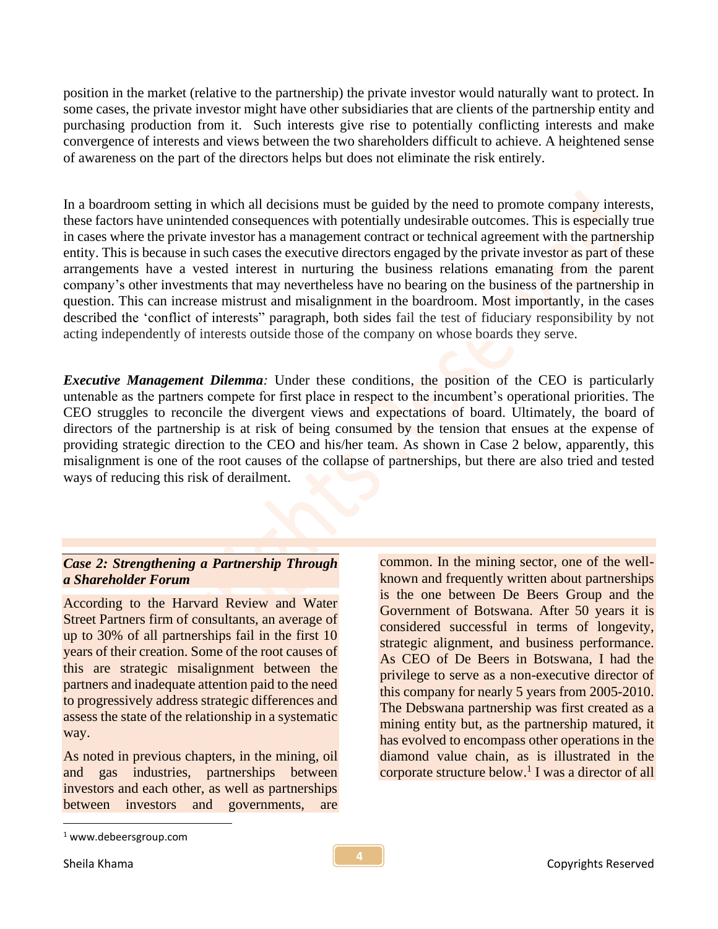position in the market (relative to the partnership) the private investor would naturally want to protect. In some cases, the private investor might have other subsidiaries that are clients of the partnership entity and purchasing production from it. Such interests give rise to potentially conflicting interests and make convergence of interests and views between the two shareholders difficult to achieve. A heightened sense of awareness on the part of the directors helps but does not eliminate the risk entirely.

In a boardroom setting in which all decisions must be guided by the need to promote company interests, these factors have unintended consequences with potentially undesirable outcomes. This is especially true in cases where the private investor has a management contract or technical agreement with the partnership entity. This is because in such cases the executive directors engaged by the private investor as part of these arrangements have a vested interest in nurturing the business relations emanating from the parent company's other investments that may nevertheless have no bearing on the business of the partnership in question. This can increase mistrust and misalignment in the boardroom. Most importantly, in the cases described the 'conflict of interests" paragraph, both sides fail the test of fiduciary responsibility by not acting independently of interests outside those of the company on whose boards they serve.

*Executive Management Dilemma*: Under these conditions, the position of the CEO is particularly untenable as the partners compete for first place in respect to the incumbent's operational priorities. The CEO struggles to reconcile the divergent views and expectations of board. Ultimately, the board of directors of the partnership is at risk of being consumed by the tension that ensues at the expense of providing strategic direction to the CEO and his/her team. As shown in Case 2 below, apparently, this misalignment is one of the root causes of the collapse of partnerships, but there are also tried and tested ways of reducing this risk of derailment.

## *Case 2: Strengthening a Partnership Through a Shareholder Forum*

According to the Harvard Review and Water Street Partners firm of consultants, an average of up to 30% of all partnerships fail in the first 10 years of their creation. Some of the root causes of this are strategic misalignment between the partners and inadequate attention paid to the need to progressively address strategic differences and assess the state of the relationship in a systematic way.

As noted in previous chapters, in the mining, oil and gas industries, partnerships between investors and each other, as well as partnerships between investors and governments, are

common. In the mining sector, one of the wellknown and frequently written about partnerships is the one between De Beers Group and the Government of Botswana. After 50 years it is considered successful in terms of longevity, strategic alignment, and business performance. As CEO of De Beers in Botswana, I had the privilege to serve as a non-executive director of this company for nearly 5 years from 2005-2010. The Debswana partnership was first created as a mining entity but, as the partnership matured, it has evolved to encompass other operations in the diamond value chain, as is illustrated in the corporate structure below.<sup>1</sup> I was a director of all

<sup>1</sup> www.debeersgroup.com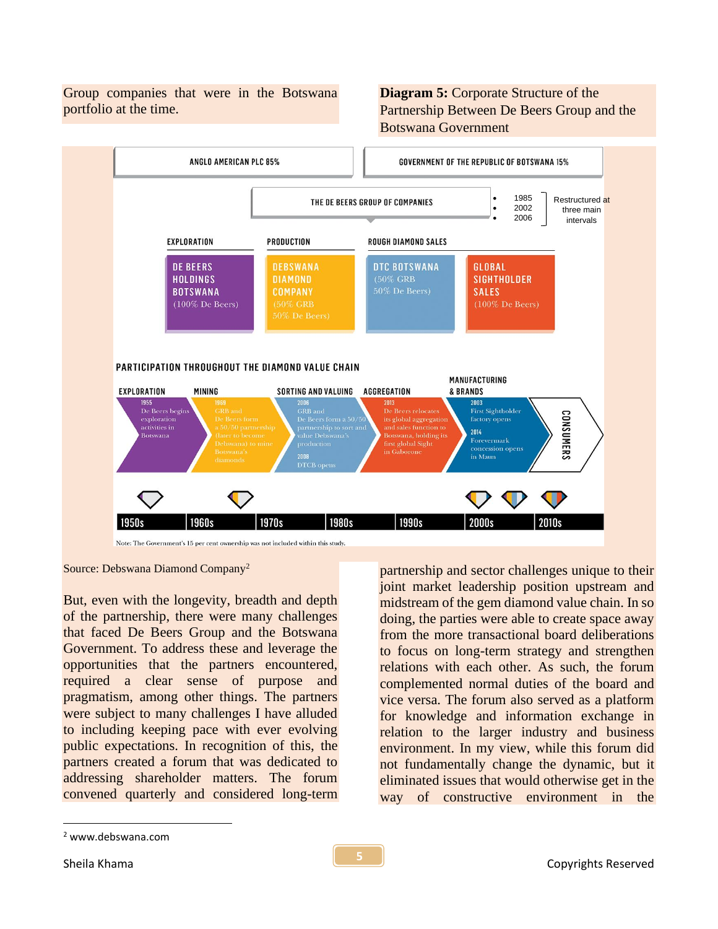Group companies that were in the Botswana portfolio at the time.

**Diagram 5:** Corporate Structure of the Partnership Between De Beers Group and the Botswana Government



Source: Debswana Diamond Company<sup>2</sup>

But, even with the longevity, breadth and depth of the partnership, there were many challenges that faced De Beers Group and the Botswana Government. To address these and leverage the opportunities that the partners encountered, required a clear sense of purpose and pragmatism, among other things. The partners were subject to many challenges I have alluded to including keeping pace with ever evolving public expectations. In recognition of this, the partners created a forum that was dedicated to addressing shareholder matters. The forum convened quarterly and considered long-term

partnership and sector challenges unique to their joint market leadership position upstream and midstream of the gem diamond value chain. In so doing, the parties were able to create space away from the more transactional board deliberations to focus on long-term strategy and strengthen relations with each other. As such, the forum complemented normal duties of the board and vice versa. The forum also served as a platform for knowledge and information exchange in relation to the larger industry and business environment. In my view, while this forum did not fundamentally change the dynamic, but it eliminated issues that would otherwise get in the way of constructive environment in the

<sup>2</sup> www.debswana.com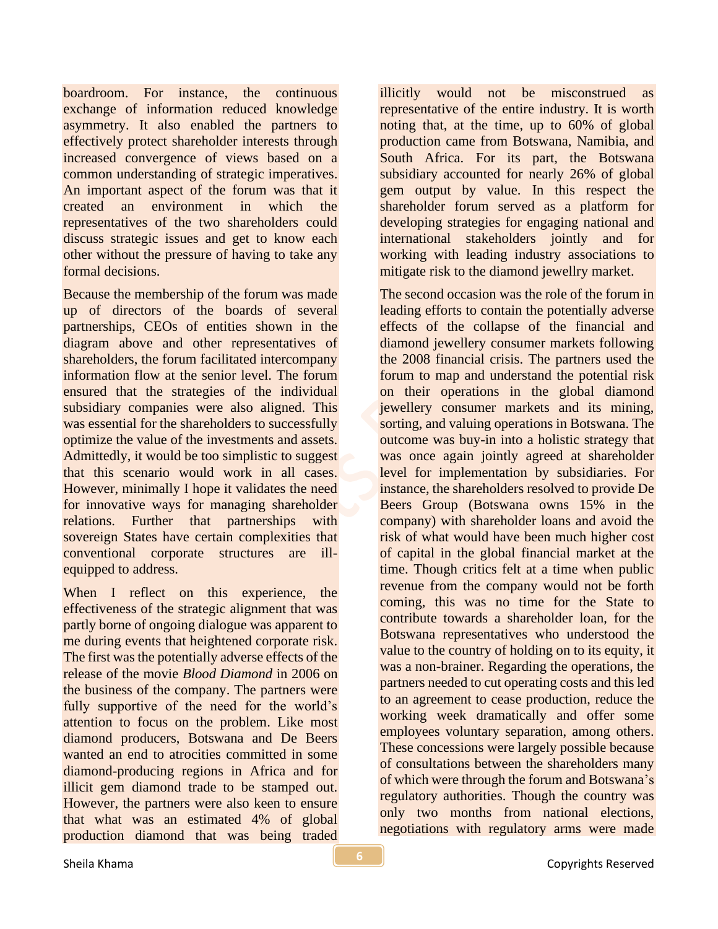boardroom. For instance, the continuous exchange of information reduced knowledge asymmetry. It also enabled the partners to effectively protect shareholder interests through increased convergence of views based on a common understanding of strategic imperatives. An important aspect of the forum was that it created an environment in which the representatives of the two shareholders could discuss strategic issues and get to know each other without the pressure of having to take any formal decisions.

Because the membership of the forum was made up of directors of the boards of several partnerships, CEOs of entities shown in the diagram above and other representatives of shareholders, the forum facilitated intercompany information flow at the senior level. The forum ensured that the strategies of the individual subsidiary companies were also aligned. This was essential for the shareholders to successfully optimize the value of the investments and assets. Admittedly, it would be too simplistic to suggest that this scenario would work in all cases. However, minimally I hope it validates the need for innovative ways for managing shareholder relations. Further that partnerships with sovereign States have certain complexities that conventional corporate structures are illequipped to address.

When I reflect on this experience, the effectiveness of the strategic alignment that was partly borne of ongoing dialogue was apparent to me during events that heightened corporate risk. The first was the potentially adverse effects of the release of the movie *Blood Diamond* in 2006 on the business of the company. The partners were fully supportive of the need for the world's attention to focus on the problem. Like most diamond producers, Botswana and De Beers wanted an end to atrocities committed in some diamond-producing regions in Africa and for illicit gem diamond trade to be stamped out. However, the partners were also keen to ensure that what was an estimated 4% of global production diamond that was being traded

illicitly would not be misconstrued as representative of the entire industry. It is worth noting that, at the time, up to 60% of global production came from Botswana, Namibia, and South Africa. For its part, the Botswana subsidiary accounted for nearly 26% of global gem output by value. In this respect the shareholder forum served as a platform for developing strategies for engaging national and international stakeholders jointly and for working with leading industry associations to mitigate risk to the diamond jewellry market.

The second occasion was the role of the forum in leading efforts to contain the potentially adverse effects of the collapse of the financial and diamond jewellery consumer markets following the 2008 financial crisis. The partners used the forum to map and understand the potential risk on their operations in the global diamond jewellery consumer markets and its mining, sorting, and valuing operations in Botswana. The outcome was buy-in into a holistic strategy that was once again jointly agreed at shareholder level for implementation by subsidiaries. For instance, the shareholders resolved to provide De Beers Group (Botswana owns 15% in the company) with shareholder loans and avoid the risk of what would have been much higher cost of capital in the global financial market at the time. Though critics felt at a time when public revenue from the company would not be forth coming, this was no time for the State to contribute towards a shareholder loan, for the Botswana representatives who understood the value to the country of holding on to its equity, it was a non-brainer. Regarding the operations, the partners needed to cut operating costs and this led to an agreement to cease production, reduce the working week dramatically and offer some employees voluntary separation, among others. These concessions were largely possible because of consultations between the shareholders many of which were through the forum and Botswana's regulatory authorities. Though the country was only two months from national elections, negotiations with regulatory arms were made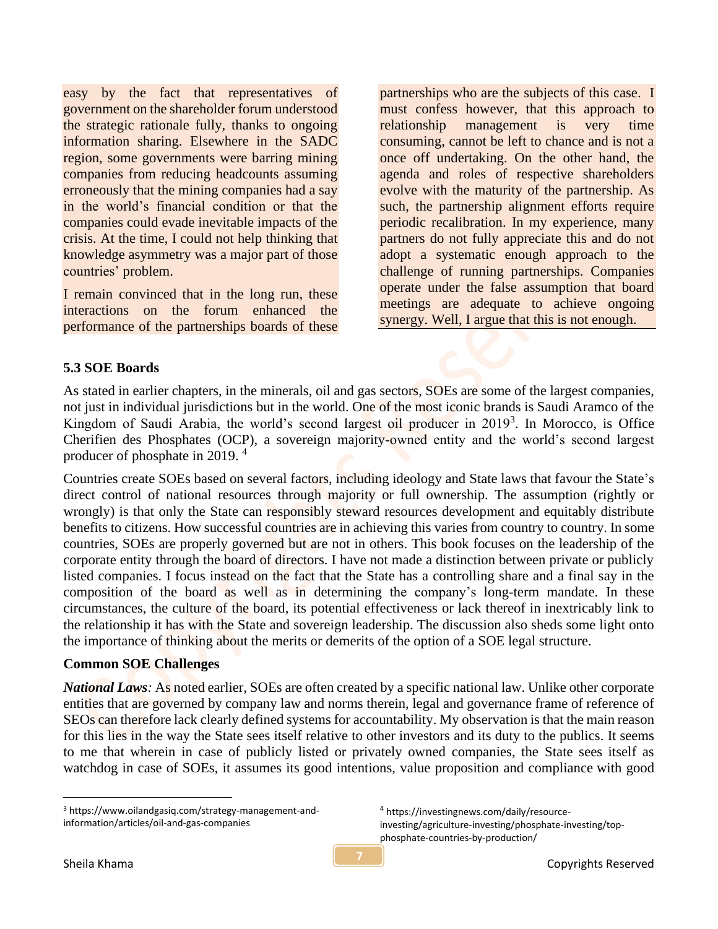easy by the fact that representatives of government on the shareholder forum understood the strategic rationale fully, thanks to ongoing information sharing. Elsewhere in the SADC region, some governments were barring mining companies from reducing headcounts assuming erroneously that the mining companies had a say in the world's financial condition or that the companies could evade inevitable impacts of the crisis. At the time, I could not help thinking that knowledge asymmetry was a major part of those countries' problem.

I remain convinced that in the long run, these interactions on the forum enhanced the performance of the partnerships boards of these

partnerships who are the subjects of this case. I must confess however, that this approach to relationship management is very time consuming, cannot be left to chance and is not a once off undertaking. On the other hand, the agenda and roles of respective shareholders evolve with the maturity of the partnership. As such, the partnership alignment efforts require periodic recalibration. In my experience, many partners do not fully appreciate this and do not adopt a systematic enough approach to the challenge of running partnerships. Companies operate under the false assumption that board meetings are adequate to achieve ongoing synergy. Well, I argue that this is not enough.

#### **5.3 SOE Boards**

As stated in earlier chapters, in the minerals, oil and gas sectors, SOEs are some of the largest companies, not just in individual jurisdictions but in the world. One of the most iconic brands is Saudi Aramco of the Kingdom of Saudi Arabia, the world's second largest oil producer in 2019<sup>3</sup>. In Morocco, is Office Cherifien des Phosphates (OCP), a sovereign majority-owned entity and the world's second largest producer of phosphate in 2019.<sup>4</sup>

Countries create SOEs based on several factors, including ideology and State laws that favour the State's direct control of national resources through majority or full ownership. The assumption (rightly or wrongly) is that only the State can responsibly steward resources development and equitably distribute benefits to citizens. How successful countries are in achieving this varies from country to country. In some countries, SOEs are properly governed but are not in others. This book focuses on the leadership of the corporate entity through the board of directors. I have not made a distinction between private or publicly listed companies. I focus instead on the fact that the State has a controlling share and a final say in the composition of the board as well as in determining the company's long-term mandate. In these circumstances, the culture of the board, its potential effectiveness or lack thereof in inextricably link to the relationship it has with the State and sovereign leadership. The discussion also sheds some light onto the importance of thinking about the merits or demerits of the option of a SOE legal structure.

#### **Common SOE Challenges**

*National Laws:* As noted earlier, SOEs are often created by a specific national law. Unlike other corporate entities that are governed by company law and norms therein, legal and governance frame of reference of SEOs can therefore lack clearly defined systems for accountability. My observation is that the main reason for this lies in the way the State sees itself relative to other investors and its duty to the publics. It seems to me that wherein in case of publicly listed or privately owned companies, the State sees itself as watchdog in case of SOEs, it assumes its good intentions, value proposition and compliance with good

<sup>4</sup> https://investingnews.com/daily/resourceinvesting/agriculture-investing/phosphate-investing/topphosphate-countries-by-production/

<sup>3</sup> https://www.oilandgasiq.com/strategy-management-andinformation/articles/oil-and-gas-companies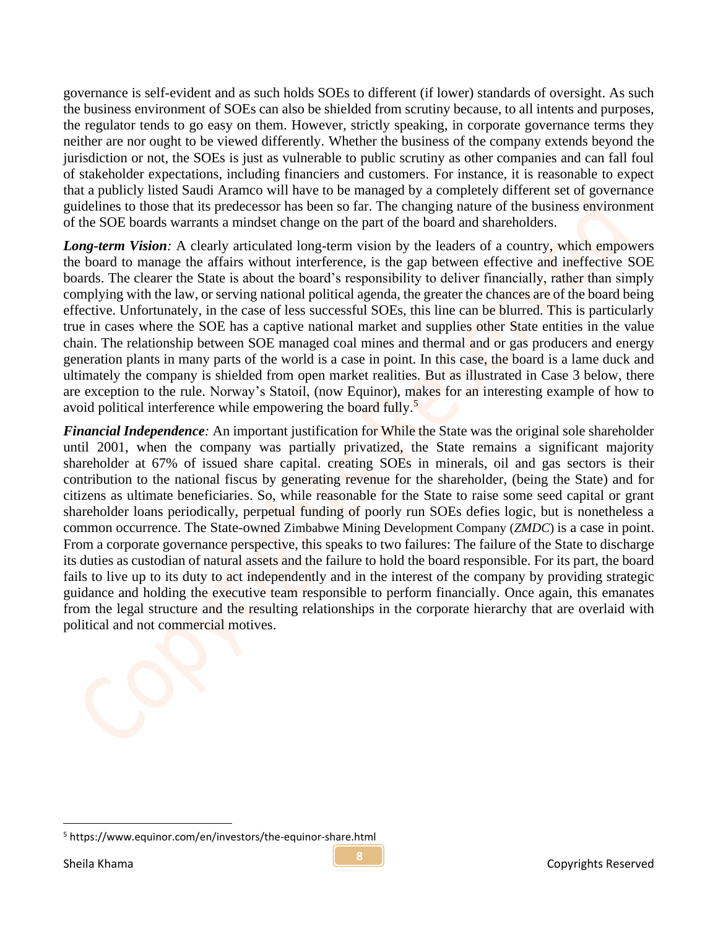governance is self-evident and as such holds SOEs to different (if lower) standards of oversight. As such the business environment of SOEs can also be shielded from scrutiny because, to all intents and purposes, the regulator tends to go easy on them. However, strictly speaking, in corporate governance terms they neither are nor ought to be viewed differently. Whether the business of the company extends beyond the jurisdiction or not, the SOEs is just as vulnerable to public scrutiny as other companies and can fall foul of stakeholder expectations, including financiers and customers. For instance, it is reasonable to expect that a publicly listed Saudi Aramco will have to be managed by a completely different set of governance guidelines to those that its predecessor has been so far. The changing nature of the business environment of the SOE boards warrants a mindset change on the part of the board and shareholders.

*Long-term Vision:* A clearly articulated long-term vision by the leaders of a country, which empowers the board to manage the affairs without interference, is the gap between effective and ineffective SOE boards. The clearer the State is about the board's responsibility to deliver financially, rather than simply complying with the law, or serving national political agenda, the greater the chances are of the board being effective. Unfortunately, in the case of less successful SOEs, this line can be blurred. This is particularly true in cases where the SOE has a captive national market and supplies other State entities in the value chain. The relationship between SOE managed coal mines and thermal and or gas producers and energy generation plants in many parts of the world is a case in point. In this case, the board is a lame duck and ultimately the company is shielded from open market realities. But as illustrated in Case 3 below, there are exception to the rule. Norway's Statoil, (now Equinor), makes for an interesting example of how to avoid political interference while empowering the board fully.<sup>5</sup>

*Financial Independence:* An important justification for While the State was the original sole shareholder until 2001, when the company was partially privatized, the State remains a significant majority shareholder at 67% of issued share capital. creating SOEs in minerals, oil and gas sectors is their contribution to the national fiscus by generating revenue for the shareholder, (being the State) and for citizens as ultimate beneficiaries. So, while reasonable for the State to raise some seed capital or grant shareholder loans periodically, perpetual funding of poorly run SOEs defies logic, but is nonetheless a common occurrence. The State-owned Zimbabwe Mining Development Company (*ZMDC*) is a case in point. From a corporate governance perspective, this speaks to two failures: The failure of the State to discharge its duties as custodian of natural assets and the failure to hold the board responsible. For its part, the board fails to live up to its duty to act independently and in the interest of the company by providing strategic guidance and holding the executive team responsible to perform financially. Once again, this emanates from the legal structure and the resulting relationships in the corporate hierarchy that are overlaid with political and not commercial motives.

<sup>5</sup> https://www.equinor.com/en/investors/the-equinor-share.html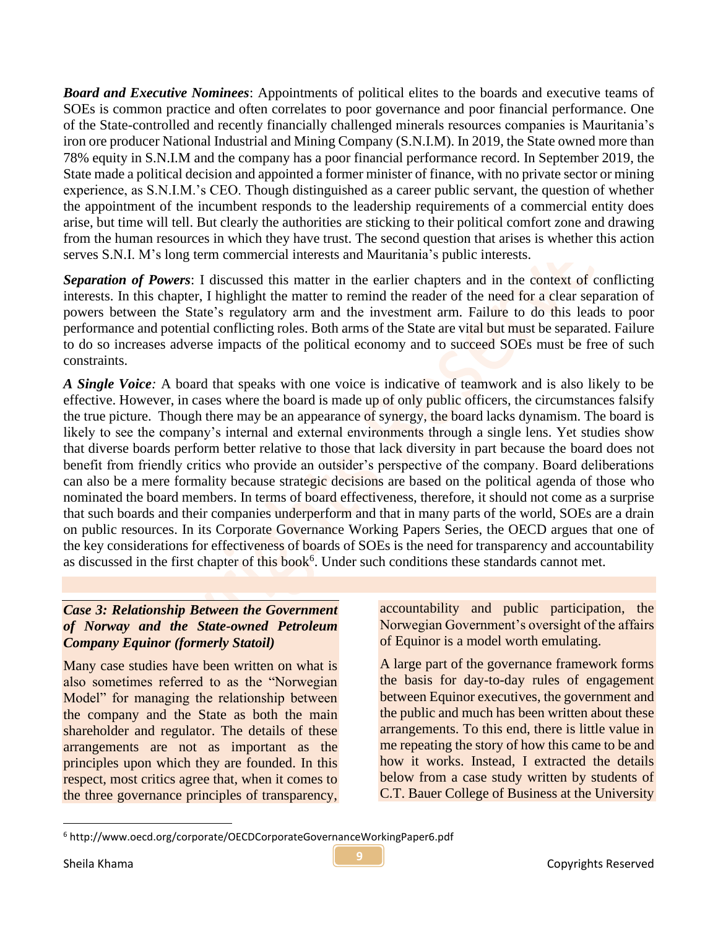*Board and Executive Nominees*: Appointments of political elites to the boards and executive teams of SOEs is common practice and often correlates to poor governance and poor financial performance. One of the State-controlled and recently financially challenged minerals resources companies is Mauritania's iron ore producer National Industrial and Mining Company (S.N.I.M). In 2019, the State owned more than 78% equity in S.N.I.M and the company has a poor financial performance record. In September 2019, the State made a political decision and appointed a former minister of finance, with no private sector or mining experience, as S.N.I.M.'s CEO. Though distinguished as a career public servant, the question of whether the appointment of the incumbent responds to the leadership requirements of a commercial entity does arise, but time will tell. But clearly the authorities are sticking to their political comfort zone and drawing from the human resources in which they have trust. The second question that arises is whether this action serves S.N.I. M's long term commercial interests and Mauritania's public interests.

*Separation of Powers*: I discussed this matter in the earlier chapters and in the context of conflicting interests. In this chapter, I highlight the matter to remind the reader of the need for a clear separation of powers between the State's regulatory arm and the investment arm. Failure to do this leads to poor performance and potential conflicting roles. Both arms of the State are vital but must be separated. Failure to do so increases adverse impacts of the political economy and to succeed SOEs must be free of such constraints.

*A Single Voice:* A board that speaks with one voice is indicative of teamwork and is also likely to be effective. However, in cases where the board is made up of only public officers, the circumstances falsify the true picture. Though there may be an appearance of synergy, the board lacks dynamism. The board is likely to see the company's internal and external environments through a single lens. Yet studies show that diverse boards perform better relative to those that lack diversity in part because the board does not benefit from friendly critics who provide an outsider's perspective of the company. Board deliberations can also be a mere formality because strategic decisions are based on the political agenda of those who nominated the board members. In terms of board effectiveness, therefore, it should not come as a surprise that such boards and their companies underperform and that in many parts of the world, SOEs are a drain on public resources. In its Corporate Governance Working Papers Series, the OECD argues that one of the key considerations for effectiveness of boards of SOEs is the need for transparency and accountability as discussed in the first chapter of this book<sup>6</sup>. Under such conditions these standards cannot met.

# *Case 3: Relationship Between the Government of Norway and the State-owned Petroleum Company Equinor (formerly Statoil)*

Many case studies have been written on what is also sometimes referred to as the "Norwegian Model" for managing the relationship between the company and the State as both the main shareholder and regulator. The details of these arrangements are not as important as the principles upon which they are founded. In this respect, most critics agree that, when it comes to the three governance principles of transparency,

accountability and public participation, the Norwegian Government's oversight of the affairs of Equinor is a model worth emulating.

A large part of the governance framework forms the basis for day-to-day rules of engagement between Equinor executives, the government and the public and much has been written about these arrangements. To this end, there is little value in me repeating the story of how this came to be and how it works. Instead, I extracted the details below from a case study written by students of C.T. Bauer College of Business at the University

<sup>6</sup> http://www.oecd.org/corporate/OECDCorporateGovernanceWorkingPaper6.pdf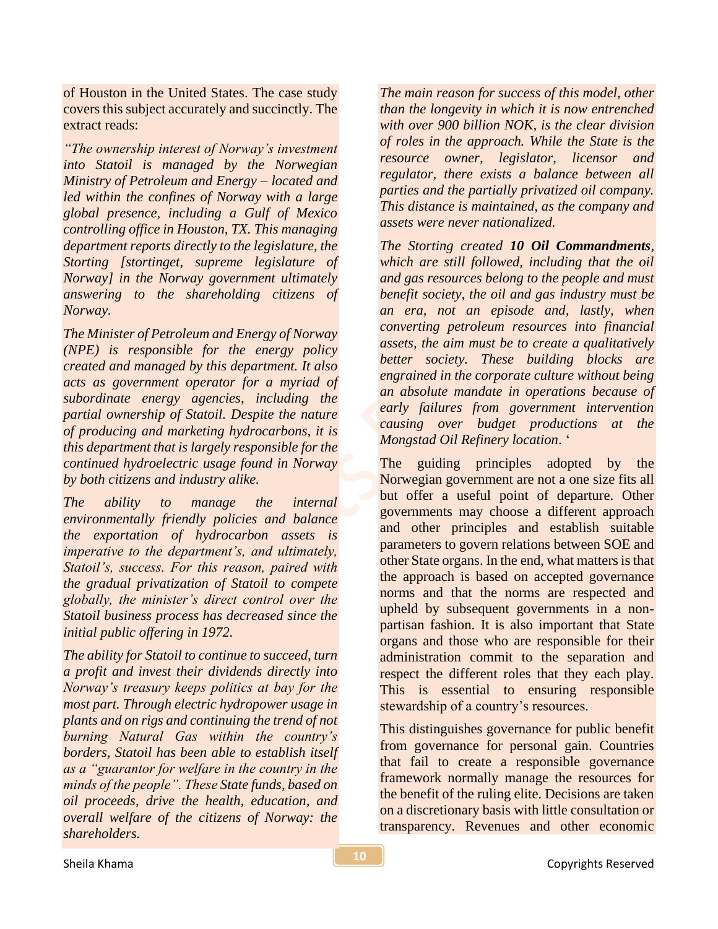of Houston in the United States. The case study covers this subject accurately and succinctly. The extract reads:

*"The ownership interest of Norway's investment into Statoil is managed by the Norwegian Ministry of Petroleum and Energy – located and led within the confines of Norway with a large global presence, including a Gulf of Mexico controlling office in Houston, TX. This managing department reports directly to the legislature, the Storting [stortinget, supreme legislature of Norway] in the Norway government ultimately answering to the shareholding citizens of Norway.* 

*The Minister of Petroleum and Energy of Norway (NPE) is responsible for the energy policy created and managed by this department. It also acts as government operator for a myriad of subordinate energy agencies, including the partial ownership of Statoil. Despite the nature of producing and marketing hydrocarbons, it is this department that is largely responsible for the continued hydroelectric usage found in Norway by both citizens and industry alike.* 

*The ability to manage the internal environmentally friendly policies and balance the exportation of hydrocarbon assets is imperative to the department's, and ultimately, Statoil's, success. For this reason, paired with the gradual privatization of Statoil to compete globally, the minister's direct control over the Statoil business process has decreased since the initial public offering in 1972.* 

*The ability for Statoil to continue to succeed, turn a profit and invest their dividends directly into Norway's treasury keeps politics at bay for the most part. Through electric hydropower usage in plants and on rigs and continuing the trend of not burning Natural Gas within the country's borders, Statoil has been able to establish itself as a "guarantor for welfare in the country in the minds of the people". These State funds, based on oil proceeds, drive the health, education, and overall welfare of the citizens of Norway: the shareholders.* 

*The main reason for success of this model, other than the longevity in which it is now entrenched with over 900 billion NOK, is the clear division of roles in the approach. While the State is the resource owner, legislator, licensor and regulator, there exists a balance between all parties and the partially privatized oil company. This distance is maintained, as the company and assets were never nationalized.* 

*The Storting created 10 Oil Commandments, which are still followed, including that the oil and gas resources belong to the people and must benefit society, the oil and gas industry must be an era, not an episode and, lastly, when converting petroleum resources into financial assets, the aim must be to create a qualitatively better society. These building blocks are engrained in the corporate culture without being an absolute mandate in operations because of early failures from government intervention causing over budget productions at the Mongstad Oil Refinery location*. '

The guiding principles adopted by the Norwegian government are not a one size fits all but offer a useful point of departure. Other governments may choose a different approach and other principles and establish suitable parameters to govern relations between SOE and other State organs. In the end, what matters is that the approach is based on accepted governance norms and that the norms are respected and upheld by subsequent governments in a nonpartisan fashion. It is also important that State organs and those who are responsible for their administration commit to the separation and respect the different roles that they each play. This is essential to ensuring responsible stewardship of a country's resources.

This distinguishes governance for public benefit from governance for personal gain. Countries that fail to create a responsible governance framework normally manage the resources for the benefit of the ruling elite. Decisions are taken on a discretionary basis with little consultation or transparency. Revenues and other economic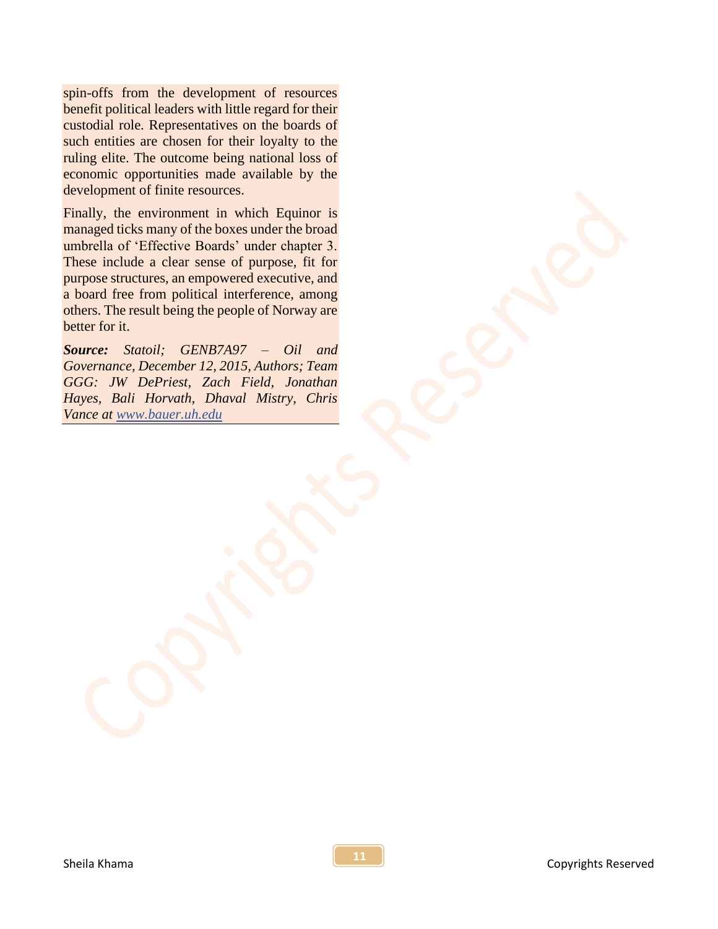spin-offs from the development of resources benefit political leaders with little regard for their custodial role. Representatives on the boards of such entities are chosen for their loyalty to the ruling elite. The outcome being national loss of economic opportunities made available by the development of finite resources.

Finally, the environment in which Equinor is managed ticks many of the boxes under the broad umbrella of 'Effective Boards' under chapter 3. These include a clear sense of purpose, fit for purpose structures, an empowered executive, and a board free from political interference, among others. The result being the people of Norway are better for it.

*Source: Statoil; GENB7A97 – Oil and Governance, December 12, 2015, Authors; Team GGG: JW DePriest, Zach Field, Jonathan Hayes, Bali Horvath, Dhaval Mistry, Chris Vance at www.bauer.uh.edu*